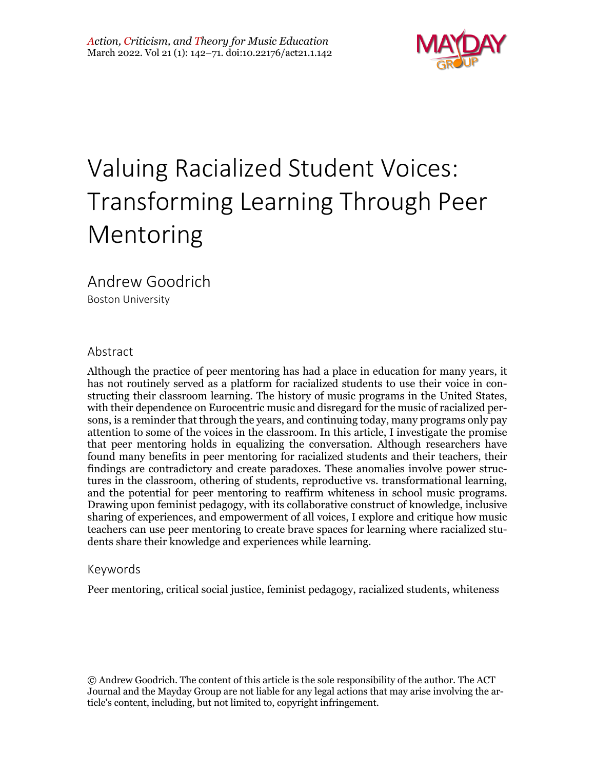

# Valuing Racialized Student Voices: Transforming Learning Through Peer Mentoring

Andrew Goodrich

Boston University

#### Abstract

Although the practice of peer mentoring has had a place in education for many years, it has not routinely served as a platform for racialized students to use their voice in constructing their classroom learning. The history of music programs in the United States, with their dependence on Eurocentric music and disregard for the music of racialized persons, is a reminder that through the years, and continuing today, many programs only pay attention to some of the voices in the classroom. In this article, I investigate the promise that peer mentoring holds in equalizing the conversation. Although researchers have found many benefits in peer mentoring for racialized students and their teachers, their findings are contradictory and create paradoxes. These anomalies involve power structures in the classroom, othering of students, reproductive vs. transformational learning, and the potential for peer mentoring to reaffirm whiteness in school music programs. Drawing upon feminist pedagogy, with its collaborative construct of knowledge, inclusive sharing of experiences, and empowerment of all voices, I explore and critique how music teachers can use peer mentoring to create brave spaces for learning where racialized students share their knowledge and experiences while learning.

#### Keywords

Peer mentoring, critical social justice, feminist pedagogy, racialized students, whiteness

© Andrew Goodrich. The content of this article is the sole responsibility of the author. The ACT Journal and the Mayday Group are not liable for any legal actions that may arise involving the article's content, including, but not limited to, copyright infringement.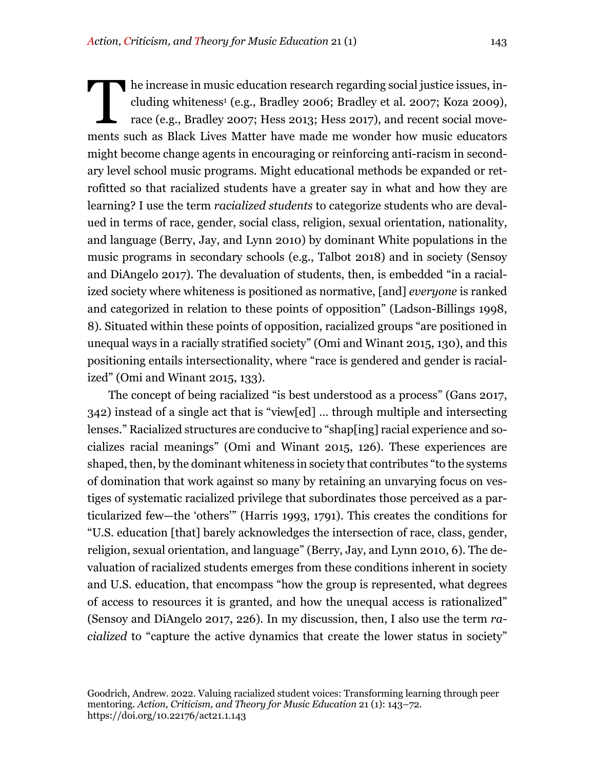he increase in music education research regarding social justice issues, including whiteness<sup>1</sup> (e.g., Bradley 2006; Bradley et al. 2007; Koza 2009), race (e.g., Bradley 2007; Hess 2013; Hess 2017), and recent social movements such as Black Lives Matter have made me wonder how music educators might become change agents in encouraging or reinforcing anti-racism in secondary level school music programs. Might educational methods be expanded or retrofitted so that racialized students have a greater say in what and how they are learning? I use the term *racialized students* to categorize students who are devalued in terms of race, gender, social class, religion, sexual orientation, nationality, and language (Berry, Jay, and Lynn 2010) by dominant White populations in the music programs in secondary schools (e.g., Talbot 2018) and in society (Sensoy and DiAngelo 2017). The devaluation of students, then, is embedded "in a racialized society where whiteness is positioned as normative, [and] *everyone* is ranked and categorized in relation to these points of opposition" (Ladson-Billings 1998, 8). Situated within these points of opposition, racialized groups "are positioned in unequal ways in a racially stratified society" (Omi and Winant 2015, 130), and this positioning entails intersectionality, where "race is gendered and gender is racialized" (Omi and Winant 2015, 133). T

The concept of being racialized "is best understood as a process" (Gans 2017, 342) instead of a single act that is "view[ed] … through multiple and intersecting lenses." Racialized structures are conducive to "shap[ing] racial experience and socializes racial meanings" (Omi and Winant 2015, 126). These experiences are shaped, then, by the dominant whiteness in society that contributes "to the systems of domination that work against so many by retaining an unvarying focus on vestiges of systematic racialized privilege that subordinates those perceived as a particularized few—the 'others'" (Harris 1993, 1791). This creates the conditions for "U.S. education [that] barely acknowledges the intersection of race, class, gender, religion, sexual orientation, and language" (Berry, Jay, and Lynn 2010, 6). The devaluation of racialized students emerges from these conditions inherent in society and U.S. education, that encompass "how the group is represented, what degrees of access to resources it is granted, and how the unequal access is rationalized" (Sensoy and DiAngelo 2017, 226). In my discussion, then, I also use the term *racialized* to "capture the active dynamics that create the lower status in society"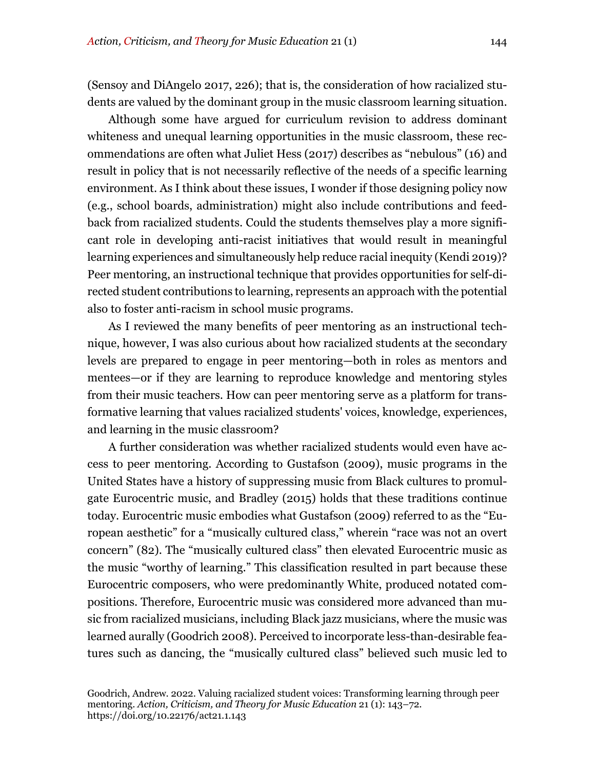(Sensoy and DiAngelo 2017, 226); that is, the consideration of how racialized students are valued by the dominant group in the music classroom learning situation.

Although some have argued for curriculum revision to address dominant whiteness and unequal learning opportunities in the music classroom, these recommendations are often what Juliet Hess (2017) describes as "nebulous" (16) and result in policy that is not necessarily reflective of the needs of a specific learning environment. As I think about these issues, I wonder if those designing policy now (e.g., school boards, administration) might also include contributions and feedback from racialized students. Could the students themselves play a more significant role in developing anti-racist initiatives that would result in meaningful learning experiences and simultaneously help reduce racial inequity (Kendi 2019)? Peer mentoring, an instructional technique that provides opportunities for self-directed student contributions to learning, represents an approach with the potential also to foster anti-racism in school music programs.

As I reviewed the many benefits of peer mentoring as an instructional technique, however, I was also curious about how racialized students at the secondary levels are prepared to engage in peer mentoring—both in roles as mentors and mentees—or if they are learning to reproduce knowledge and mentoring styles from their music teachers. How can peer mentoring serve as a platform for transformative learning that values racialized students' voices, knowledge, experiences, and learning in the music classroom?

A further consideration was whether racialized students would even have access to peer mentoring. According to Gustafson (2009), music programs in the United States have a history of suppressing music from Black cultures to promulgate Eurocentric music, and Bradley (2015) holds that these traditions continue today. Eurocentric music embodies what Gustafson (2009) referred to as the "European aesthetic" for a "musically cultured class," wherein "race was not an overt concern" (82). The "musically cultured class" then elevated Eurocentric music as the music "worthy of learning." This classification resulted in part because these Eurocentric composers, who were predominantly White, produced notated compositions. Therefore, Eurocentric music was considered more advanced than music from racialized musicians, including Black jazz musicians, where the music was learned aurally (Goodrich 2008). Perceived to incorporate less-than-desirable features such as dancing, the "musically cultured class" believed such music led to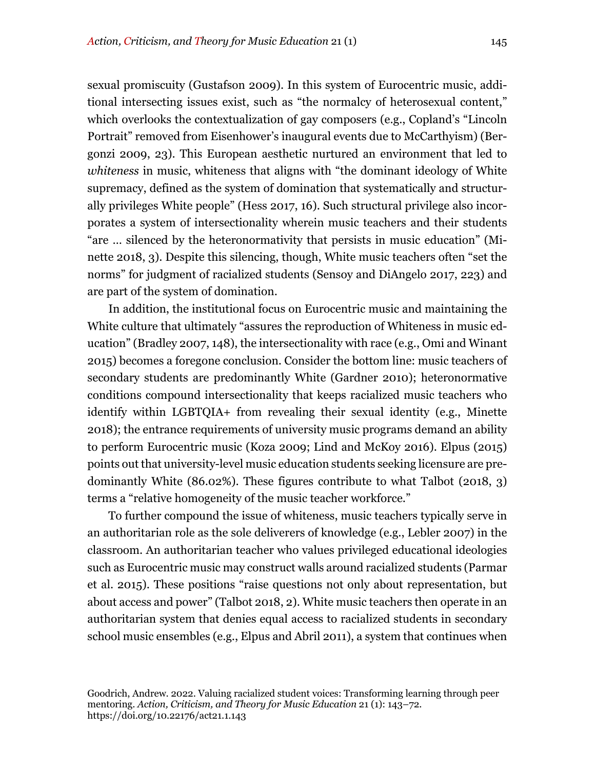sexual promiscuity (Gustafson 2009). In this system of Eurocentric music, additional intersecting issues exist, such as "the normalcy of heterosexual content," which overlooks the contextualization of gay composers (e.g., Copland's "Lincoln Portrait" removed from Eisenhower's inaugural events due to McCarthyism) (Bergonzi 2009, 23). This European aesthetic nurtured an environment that led to *whiteness* in music, whiteness that aligns with "the dominant ideology of White supremacy, defined as the system of domination that systematically and structurally privileges White people" (Hess 2017, 16). Such structural privilege also incorporates a system of intersectionality wherein music teachers and their students "are … silenced by the heteronormativity that persists in music education" (Minette 2018, 3). Despite this silencing, though, White music teachers often "set the norms" for judgment of racialized students (Sensoy and DiAngelo 2017, 223) and are part of the system of domination.

In addition, the institutional focus on Eurocentric music and maintaining the White culture that ultimately "assures the reproduction of Whiteness in music education" (Bradley 2007, 148), the intersectionality with race (e.g., Omi and Winant 2015) becomes a foregone conclusion. Consider the bottom line: music teachers of secondary students are predominantly White (Gardner 2010); heteronormative conditions compound intersectionality that keeps racialized music teachers who identify within LGBTQIA+ from revealing their sexual identity (e.g., Minette 2018); the entrance requirements of university music programs demand an ability to perform Eurocentric music (Koza 2009; Lind and McKoy 2016). Elpus (2015) points out that university-level music education students seeking licensure are predominantly White (86.02%). These figures contribute to what Talbot (2018, 3) terms a "relative homogeneity of the music teacher workforce."

To further compound the issue of whiteness, music teachers typically serve in an authoritarian role as the sole deliverers of knowledge (e.g., Lebler 2007) in the classroom. An authoritarian teacher who values privileged educational ideologies such as Eurocentric music may construct walls around racialized students (Parmar et al. 2015). These positions "raise questions not only about representation, but about access and power" (Talbot 2018, 2). White music teachers then operate in an authoritarian system that denies equal access to racialized students in secondary school music ensembles (e.g., Elpus and Abril 2011), a system that continues when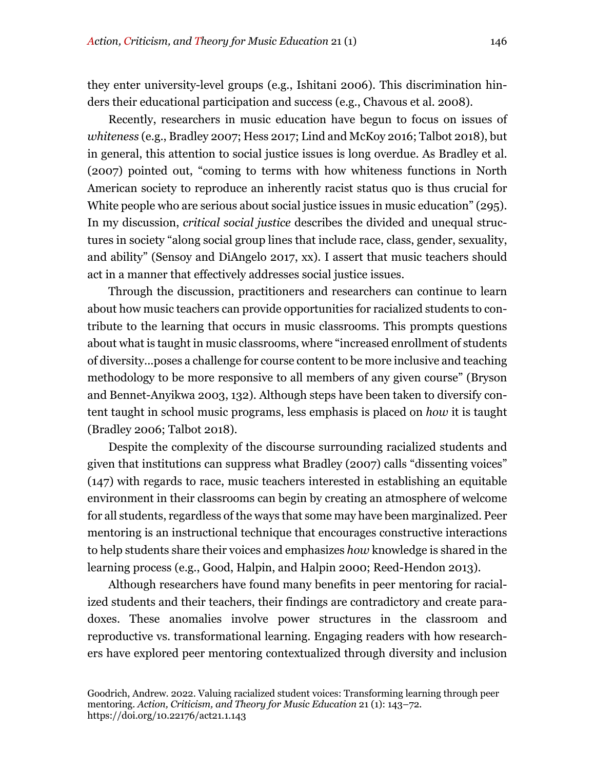they enter university-level groups (e.g., Ishitani 2006). This discrimination hinders their educational participation and success (e.g., Chavous et al. 2008).

Recently, researchers in music education have begun to focus on issues of *whiteness* (e.g., Bradley 2007; Hess 2017; Lind and McKoy 2016; Talbot 2018), but in general, this attention to social justice issues is long overdue. As Bradley et al. (2007) pointed out, "coming to terms with how whiteness functions in North American society to reproduce an inherently racist status quo is thus crucial for White people who are serious about social justice issues in music education" (295). In my discussion, *critical social justice* describes the divided and unequal structures in society "along social group lines that include race, class, gender, sexuality, and ability" (Sensoy and DiAngelo 2017, xx). I assert that music teachers should act in a manner that effectively addresses social justice issues.

Through the discussion, practitioners and researchers can continue to learn about how music teachers can provide opportunities for racialized students to contribute to the learning that occurs in music classrooms. This prompts questions about what is taught in music classrooms, where "increased enrollment of students of diversity...poses a challenge for course content to be more inclusive and teaching methodology to be more responsive to all members of any given course" (Bryson and Bennet-Anyikwa 2003, 132). Although steps have been taken to diversify content taught in school music programs, less emphasis is placed on *how* it is taught (Bradley 2006; Talbot 2018).

Despite the complexity of the discourse surrounding racialized students and given that institutions can suppress what Bradley (2007) calls "dissenting voices" (147) with regards to race, music teachers interested in establishing an equitable environment in their classrooms can begin by creating an atmosphere of welcome for all students, regardless of the ways that some may have been marginalized. Peer mentoring is an instructional technique that encourages constructive interactions to help students share their voices and emphasizes *how* knowledge is shared in the learning process (e.g., Good, Halpin, and Halpin 2000; Reed-Hendon 2013).

Although researchers have found many benefits in peer mentoring for racialized students and their teachers, their findings are contradictory and create paradoxes. These anomalies involve power structures in the classroom and reproductive vs. transformational learning. Engaging readers with how researchers have explored peer mentoring contextualized through diversity and inclusion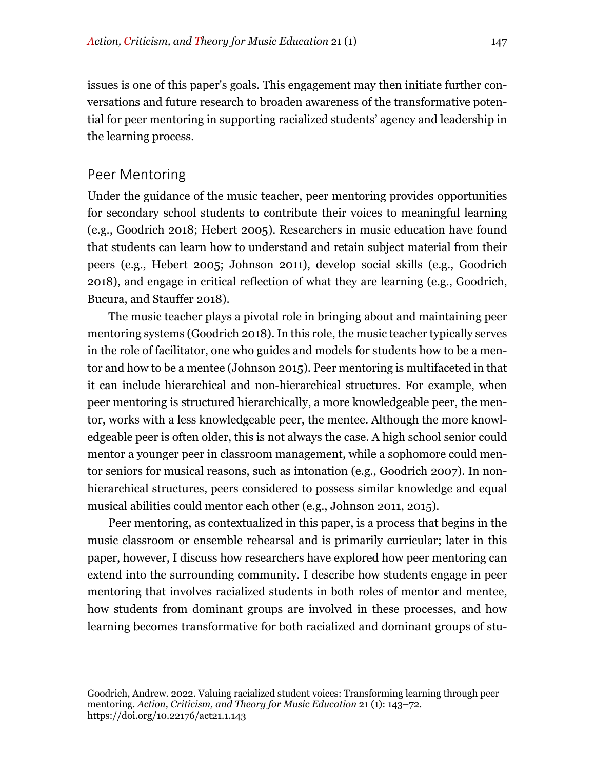issues is one of this paper's goals. This engagement may then initiate further conversations and future research to broaden awareness of the transformative potential for peer mentoring in supporting racialized students' agency and leadership in the learning process.

#### Peer Mentoring

Under the guidance of the music teacher, peer mentoring provides opportunities for secondary school students to contribute their voices to meaningful learning (e.g., Goodrich 2018; Hebert 2005). Researchers in music education have found that students can learn how to understand and retain subject material from their peers (e.g., Hebert 2005; Johnson 2011), develop social skills (e.g., Goodrich 2018), and engage in critical reflection of what they are learning (e.g., Goodrich, Bucura, and Stauffer 2018).

The music teacher plays a pivotal role in bringing about and maintaining peer mentoring systems (Goodrich 2018). In this role, the music teacher typically serves in the role of facilitator, one who guides and models for students how to be a mentor and how to be a mentee (Johnson 2015). Peer mentoring is multifaceted in that it can include hierarchical and non-hierarchical structures. For example, when peer mentoring is structured hierarchically, a more knowledgeable peer, the mentor, works with a less knowledgeable peer, the mentee. Although the more knowledgeable peer is often older, this is not always the case. A high school senior could mentor a younger peer in classroom management, while a sophomore could mentor seniors for musical reasons, such as intonation (e.g., Goodrich 2007). In nonhierarchical structures, peers considered to possess similar knowledge and equal musical abilities could mentor each other (e.g., Johnson 2011, 2015).

Peer mentoring, as contextualized in this paper, is a process that begins in the music classroom or ensemble rehearsal and is primarily curricular; later in this paper, however, I discuss how researchers have explored how peer mentoring can extend into the surrounding community. I describe how students engage in peer mentoring that involves racialized students in both roles of mentor and mentee, how students from dominant groups are involved in these processes, and how learning becomes transformative for both racialized and dominant groups of stu-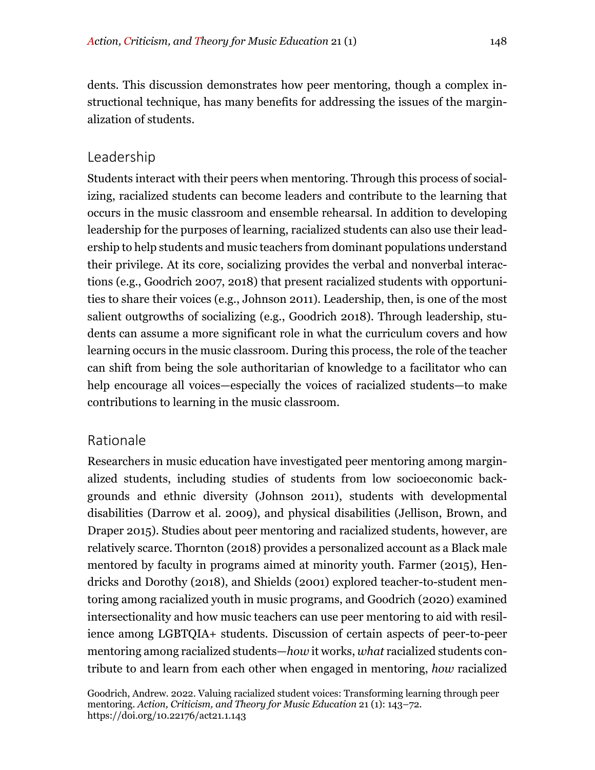dents. This discussion demonstrates how peer mentoring, though a complex instructional technique, has many benefits for addressing the issues of the marginalization of students.

# Leadership

Students interact with their peers when mentoring. Through this process of socializing, racialized students can become leaders and contribute to the learning that occurs in the music classroom and ensemble rehearsal. In addition to developing leadership for the purposes of learning, racialized students can also use their leadership to help students and music teachers from dominant populations understand their privilege. At its core, socializing provides the verbal and nonverbal interactions (e.g., Goodrich 2007, 2018) that present racialized students with opportunities to share their voices (e.g., Johnson 2011). Leadership, then, is one of the most salient outgrowths of socializing (e.g., Goodrich 2018). Through leadership, students can assume a more significant role in what the curriculum covers and how learning occurs in the music classroom. During this process, the role of the teacher can shift from being the sole authoritarian of knowledge to a facilitator who can help encourage all voices—especially the voices of racialized students—to make contributions to learning in the music classroom.

# Rationale

Researchers in music education have investigated peer mentoring among marginalized students, including studies of students from low socioeconomic backgrounds and ethnic diversity (Johnson 2011), students with developmental disabilities (Darrow et al. 2009), and physical disabilities (Jellison, Brown, and Draper 2015). Studies about peer mentoring and racialized students, however, are relatively scarce. Thornton (2018) provides a personalized account as a Black male mentored by faculty in programs aimed at minority youth. Farmer (2015), Hendricks and Dorothy (2018), and Shields (2001) explored teacher-to-student mentoring among racialized youth in music programs, and Goodrich (2020) examined intersectionality and how music teachers can use peer mentoring to aid with resilience among LGBTQIA+ students. Discussion of certain aspects of peer-to-peer mentoring among racialized students—*how* it works, *what* racialized students contribute to and learn from each other when engaged in mentoring, *how* racialized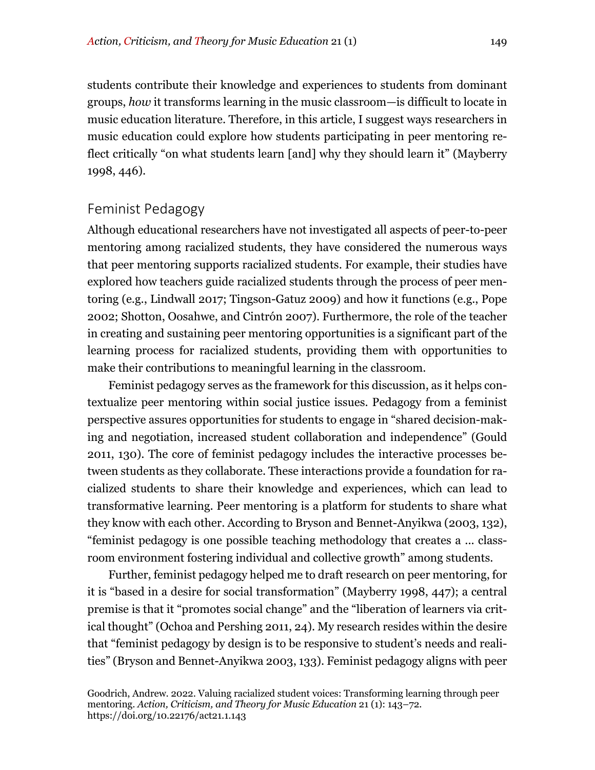students contribute their knowledge and experiences to students from dominant groups, *how* it transforms learning in the music classroom*—*is difficult to locate in music education literature. Therefore, in this article, I suggest ways researchers in music education could explore how students participating in peer mentoring reflect critically "on what students learn [and] why they should learn it" (Mayberry 1998, 446).

#### Feminist Pedagogy

Although educational researchers have not investigated all aspects of peer-to-peer mentoring among racialized students, they have considered the numerous ways that peer mentoring supports racialized students. For example, their studies have explored how teachers guide racialized students through the process of peer mentoring (e.g., Lindwall 2017; Tingson-Gatuz 2009) and how it functions (e.g., Pope 2002; Shotton, Oosahwe, and Cintrón 2007). Furthermore, the role of the teacher in creating and sustaining peer mentoring opportunities is a significant part of the learning process for racialized students, providing them with opportunities to make their contributions to meaningful learning in the classroom.

Feminist pedagogy serves as the framework for this discussion, as it helps contextualize peer mentoring within social justice issues. Pedagogy from a feminist perspective assures opportunities for students to engage in "shared decision-making and negotiation, increased student collaboration and independence" (Gould 2011, 130). The core of feminist pedagogy includes the interactive processes between students as they collaborate. These interactions provide a foundation for racialized students to share their knowledge and experiences, which can lead to transformative learning. Peer mentoring is a platform for students to share what they know with each other. According to Bryson and Bennet-Anyikwa (2003, 132), "feminist pedagogy is one possible teaching methodology that creates a ... classroom environment fostering individual and collective growth" among students.

Further, feminist pedagogy helped me to draft research on peer mentoring, for it is "based in a desire for social transformation" (Mayberry 1998, 447); a central premise is that it "promotes social change" and the "liberation of learners via critical thought" (Ochoa and Pershing 2011, 24). My research resides within the desire that "feminist pedagogy by design is to be responsive to student's needs and realities" (Bryson and Bennet-Anyikwa 2003, 133). Feminist pedagogy aligns with peer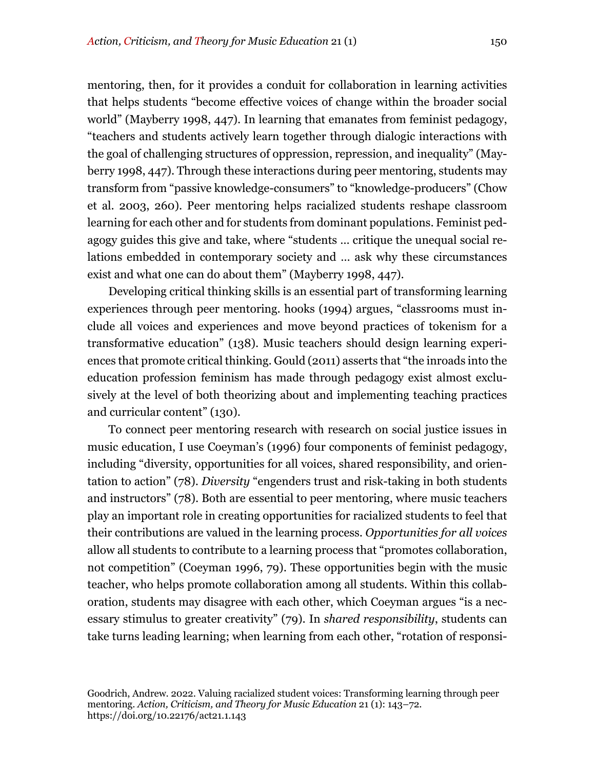mentoring, then, for it provides a conduit for collaboration in learning activities that helps students "become effective voices of change within the broader social world" (Mayberry 1998, 447). In learning that emanates from feminist pedagogy, "teachers and students actively learn together through dialogic interactions with the goal of challenging structures of oppression, repression, and inequality" (Mayberry 1998, 447). Through these interactions during peer mentoring, students may transform from "passive knowledge-consumers" to "knowledge-producers" (Chow et al. 2003, 260). Peer mentoring helps racialized students reshape classroom learning for each other and for students from dominant populations. Feminist pedagogy guides this give and take, where "students … critique the unequal social relations embedded in contemporary society and … ask why these circumstances exist and what one can do about them" (Mayberry 1998, 447).

Developing critical thinking skills is an essential part of transforming learning experiences through peer mentoring. hooks (1994) argues, "classrooms must include all voices and experiences and move beyond practices of tokenism for a transformative education" (138). Music teachers should design learning experiences that promote critical thinking. Gould (2011) asserts that "the inroads into the education profession feminism has made through pedagogy exist almost exclusively at the level of both theorizing about and implementing teaching practices and curricular content" (130).

To connect peer mentoring research with research on social justice issues in music education, I use Coeyman's (1996) four components of feminist pedagogy, including "diversity, opportunities for all voices, shared responsibility, and orientation to action" (78). *Diversity* "engenders trust and risk-taking in both students and instructors" (78). Both are essential to peer mentoring, where music teachers play an important role in creating opportunities for racialized students to feel that their contributions are valued in the learning process. *Opportunities for all voices* allow all students to contribute to a learning process that "promotes collaboration, not competition" (Coeyman 1996, 79). These opportunities begin with the music teacher, who helps promote collaboration among all students. Within this collaboration, students may disagree with each other, which Coeyman argues "is a necessary stimulus to greater creativity" (79). In *shared responsibility*, students can take turns leading learning; when learning from each other, "rotation of responsi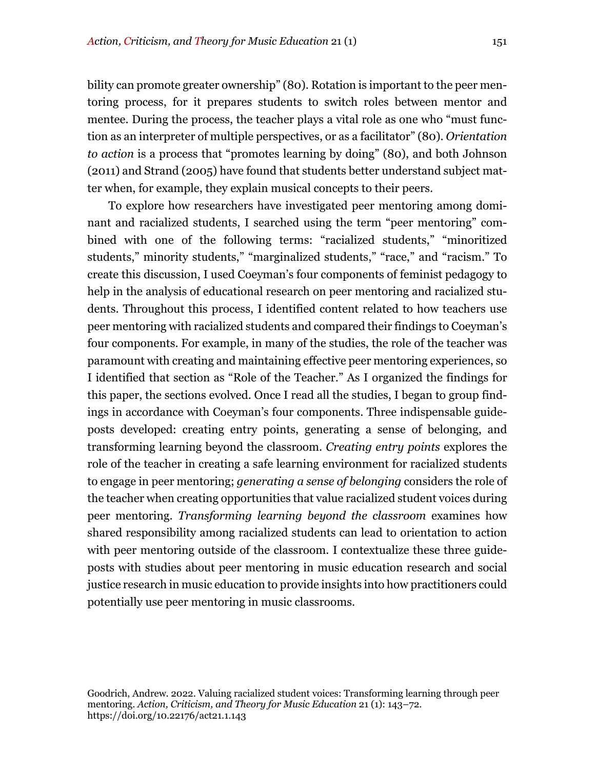bility can promote greater ownership" (80). Rotation is important to the peer mentoring process, for it prepares students to switch roles between mentor and mentee. During the process, the teacher plays a vital role as one who "must function as an interpreter of multiple perspectives, or as a facilitator" (80). *Orientation to action* is a process that "promotes learning by doing" (80), and both Johnson (2011) and Strand (2005) have found that students better understand subject matter when, for example, they explain musical concepts to their peers.

To explore how researchers have investigated peer mentoring among dominant and racialized students, I searched using the term "peer mentoring" combined with one of the following terms: "racialized students," "minoritized students," minority students," "marginalized students," "race," and "racism." To create this discussion, I used Coeyman's four components of feminist pedagogy to help in the analysis of educational research on peer mentoring and racialized students. Throughout this process, I identified content related to how teachers use peer mentoring with racialized students and compared their findings to Coeyman's four components. For example, in many of the studies, the role of the teacher was paramount with creating and maintaining effective peer mentoring experiences, so I identified that section as "Role of the Teacher." As I organized the findings for this paper, the sections evolved. Once I read all the studies, I began to group findings in accordance with Coeyman's four components. Three indispensable guideposts developed: creating entry points, generating a sense of belonging, and transforming learning beyond the classroom. *Creating entry points* explores the role of the teacher in creating a safe learning environment for racialized students to engage in peer mentoring; *generating a sense of belonging* considers the role of the teacher when creating opportunities that value racialized student voices during peer mentoring. *Transforming learning beyond the classroom* examines how shared responsibility among racialized students can lead to orientation to action with peer mentoring outside of the classroom. I contextualize these three guideposts with studies about peer mentoring in music education research and social justice research in music education to provide insights into how practitioners could potentially use peer mentoring in music classrooms.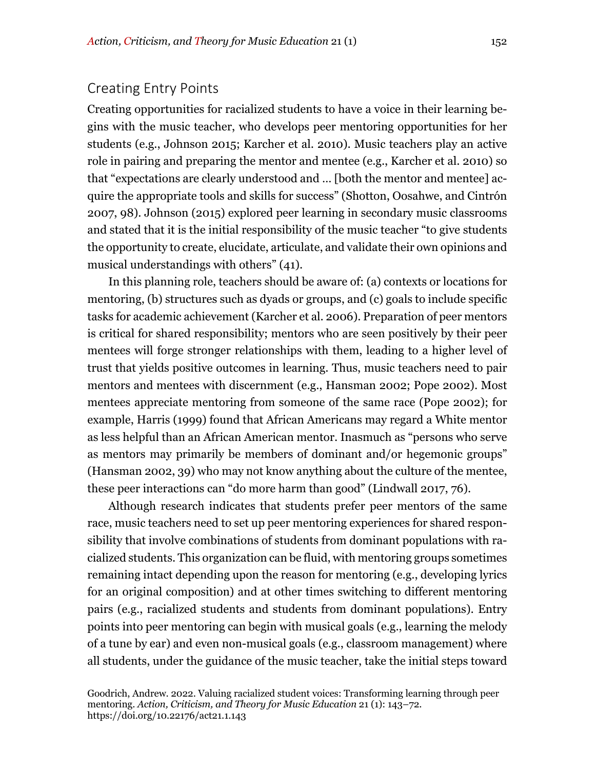# Creating Entry Points

Creating opportunities for racialized students to have a voice in their learning begins with the music teacher, who develops peer mentoring opportunities for her students (e.g., Johnson 2015; Karcher et al. 2010). Music teachers play an active role in pairing and preparing the mentor and mentee (e.g., Karcher et al. 2010) so that "expectations are clearly understood and … [both the mentor and mentee] acquire the appropriate tools and skills for success" (Shotton, Oosahwe, and Cintrón 2007, 98). Johnson (2015) explored peer learning in secondary music classrooms and stated that it is the initial responsibility of the music teacher "to give students the opportunity to create, elucidate, articulate, and validate their own opinions and musical understandings with others" (41).

In this planning role, teachers should be aware of: (a) contexts or locations for mentoring, (b) structures such as dyads or groups, and (c) goals to include specific tasks for academic achievement (Karcher et al. 2006). Preparation of peer mentors is critical for shared responsibility; mentors who are seen positively by their peer mentees will forge stronger relationships with them, leading to a higher level of trust that yields positive outcomes in learning. Thus, music teachers need to pair mentors and mentees with discernment (e.g., Hansman 2002; Pope 2002). Most mentees appreciate mentoring from someone of the same race (Pope 2002); for example, Harris (1999) found that African Americans may regard a White mentor as less helpful than an African American mentor. Inasmuch as "persons who serve as mentors may primarily be members of dominant and/or hegemonic groups" (Hansman 2002, 39) who may not know anything about the culture of the mentee, these peer interactions can "do more harm than good" (Lindwall 2017, 76).

Although research indicates that students prefer peer mentors of the same race, music teachers need to set up peer mentoring experiences for shared responsibility that involve combinations of students from dominant populations with racialized students. This organization can be fluid, with mentoring groups sometimes remaining intact depending upon the reason for mentoring (e.g., developing lyrics for an original composition) and at other times switching to different mentoring pairs (e.g., racialized students and students from dominant populations). Entry points into peer mentoring can begin with musical goals (e.g., learning the melody of a tune by ear) and even non-musical goals (e.g., classroom management) where all students, under the guidance of the music teacher, take the initial steps toward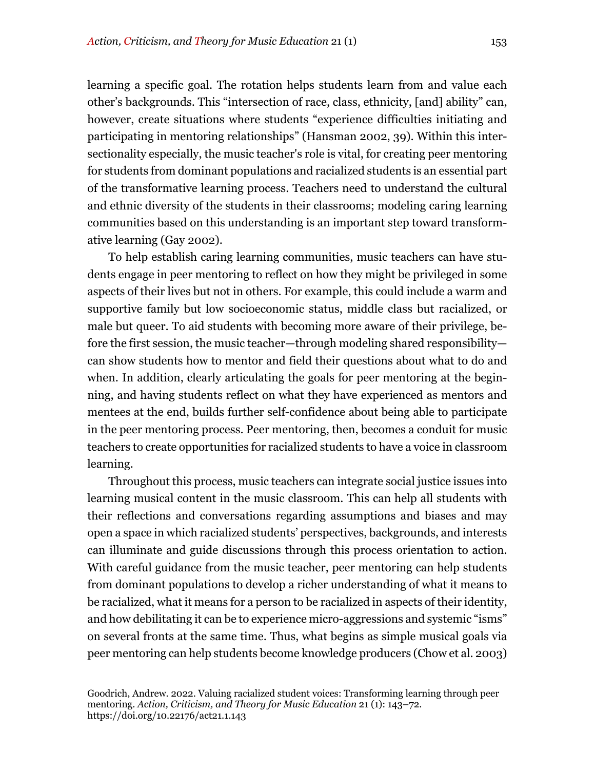learning a specific goal. The rotation helps students learn from and value each other's backgrounds. This "intersection of race, class, ethnicity, [and] ability" can, however, create situations where students "experience difficulties initiating and participating in mentoring relationships" (Hansman 2002, 39). Within this intersectionality especially, the music teacher's role is vital, for creating peer mentoring for students from dominant populations and racialized students is an essential part of the transformative learning process. Teachers need to understand the cultural and ethnic diversity of the students in their classrooms; modeling caring learning communities based on this understanding is an important step toward transformative learning (Gay 2002).

To help establish caring learning communities, music teachers can have students engage in peer mentoring to reflect on how they might be privileged in some aspects of their lives but not in others. For example, this could include a warm and supportive family but low socioeconomic status, middle class but racialized, or male but queer. To aid students with becoming more aware of their privilege, before the first session, the music teacher—through modeling shared responsibility can show students how to mentor and field their questions about what to do and when. In addition, clearly articulating the goals for peer mentoring at the beginning, and having students reflect on what they have experienced as mentors and mentees at the end, builds further self-confidence about being able to participate in the peer mentoring process. Peer mentoring, then, becomes a conduit for music teachers to create opportunities for racialized students to have a voice in classroom learning.

Throughout this process, music teachers can integrate social justice issues into learning musical content in the music classroom. This can help all students with their reflections and conversations regarding assumptions and biases and may open a space in which racialized students' perspectives, backgrounds, and interests can illuminate and guide discussions through this process orientation to action. With careful guidance from the music teacher, peer mentoring can help students from dominant populations to develop a richer understanding of what it means to be racialized, what it means for a person to be racialized in aspects of their identity, and how debilitating it can be to experience micro-aggressions and systemic "isms" on several fronts at the same time. Thus, what begins as simple musical goals via peer mentoring can help students become knowledge producers (Chow et al. 2003)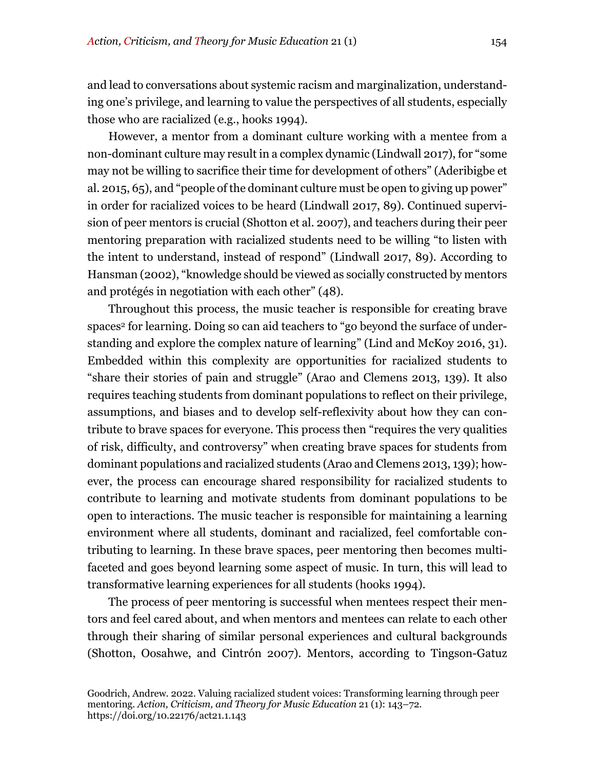and lead to conversations about systemic racism and marginalization, understanding one's privilege, and learning to value the perspectives of all students, especially those who are racialized (e.g., hooks 1994).

However, a mentor from a dominant culture working with a mentee from a non-dominant culture may result in a complex dynamic (Lindwall 2017), for "some may not be willing to sacrifice their time for development of others" (Aderibigbe et al. 2015, 65), and "people of the dominant culture must be open to giving up power" in order for racialized voices to be heard (Lindwall 2017, 89). Continued supervision of peer mentors is crucial (Shotton et al. 2007), and teachers during their peer mentoring preparation with racialized students need to be willing "to listen with the intent to understand, instead of respond" (Lindwall 2017, 89). According to Hansman (2002), "knowledge should be viewed as socially constructed by mentors and protégés in negotiation with each other" (48).

Throughout this process, the music teacher is responsible for creating brave spaces<sup>2</sup> for learning. Doing so can aid teachers to "go beyond the surface of understanding and explore the complex nature of learning" (Lind and McKoy 2016, 31). Embedded within this complexity are opportunities for racialized students to "share their stories of pain and struggle" (Arao and Clemens 2013, 139). It also requires teaching students from dominant populations to reflect on their privilege, assumptions, and biases and to develop self-reflexivity about how they can contribute to brave spaces for everyone. This process then "requires the very qualities of risk, difficulty, and controversy" when creating brave spaces for students from dominant populations and racialized students (Arao and Clemens 2013, 139); however, the process can encourage shared responsibility for racialized students to contribute to learning and motivate students from dominant populations to be open to interactions. The music teacher is responsible for maintaining a learning environment where all students, dominant and racialized, feel comfortable contributing to learning. In these brave spaces, peer mentoring then becomes multifaceted and goes beyond learning some aspect of music. In turn, this will lead to transformative learning experiences for all students (hooks 1994).

The process of peer mentoring is successful when mentees respect their mentors and feel cared about, and when mentors and mentees can relate to each other through their sharing of similar personal experiences and cultural backgrounds (Shotton, Oosahwe, and Cintrón 2007). Mentors, according to Tingson-Gatuz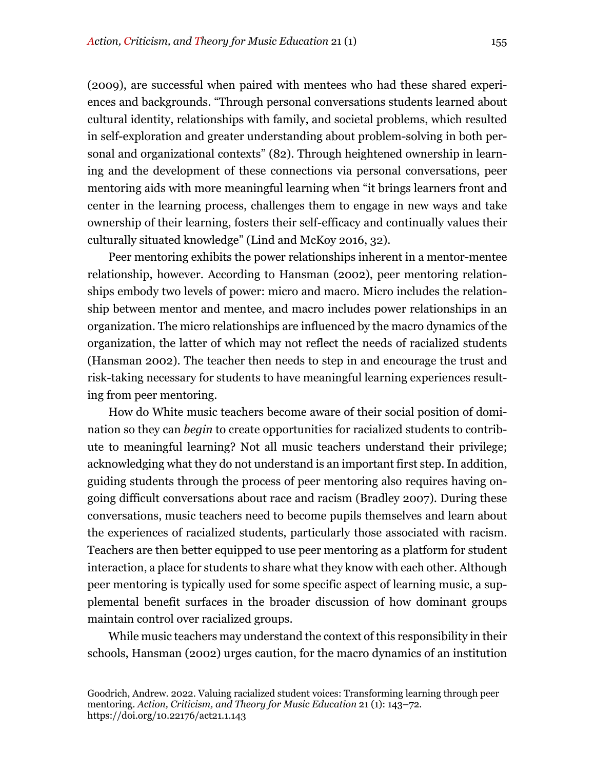(2009), are successful when paired with mentees who had these shared experiences and backgrounds. "Through personal conversations students learned about cultural identity, relationships with family, and societal problems, which resulted in self-exploration and greater understanding about problem-solving in both personal and organizational contexts" (82). Through heightened ownership in learning and the development of these connections via personal conversations, peer mentoring aids with more meaningful learning when "it brings learners front and center in the learning process, challenges them to engage in new ways and take ownership of their learning, fosters their self-efficacy and continually values their culturally situated knowledge" (Lind and McKoy 2016, 32).

Peer mentoring exhibits the power relationships inherent in a mentor-mentee relationship, however. According to Hansman (2002), peer mentoring relationships embody two levels of power: micro and macro. Micro includes the relationship between mentor and mentee, and macro includes power relationships in an organization. The micro relationships are influenced by the macro dynamics of the organization, the latter of which may not reflect the needs of racialized students (Hansman 2002). The teacher then needs to step in and encourage the trust and risk-taking necessary for students to have meaningful learning experiences resulting from peer mentoring.

How do White music teachers become aware of their social position of domination so they can *begin* to create opportunities for racialized students to contribute to meaningful learning? Not all music teachers understand their privilege; acknowledging what they do not understand is an important first step. In addition, guiding students through the process of peer mentoring also requires having ongoing difficult conversations about race and racism (Bradley 2007). During these conversations, music teachers need to become pupils themselves and learn about the experiences of racialized students, particularly those associated with racism. Teachers are then better equipped to use peer mentoring as a platform for student interaction, a place for students to share what they know with each other. Although peer mentoring is typically used for some specific aspect of learning music, a supplemental benefit surfaces in the broader discussion of how dominant groups maintain control over racialized groups.

While music teachers may understand the context of this responsibility in their schools, Hansman (2002) urges caution, for the macro dynamics of an institution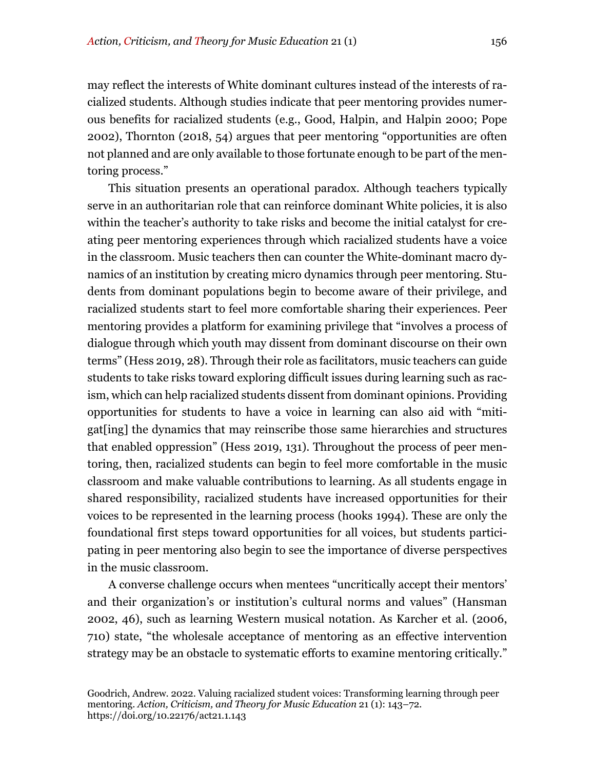may reflect the interests of White dominant cultures instead of the interests of racialized students. Although studies indicate that peer mentoring provides numerous benefits for racialized students (e.g., Good, Halpin, and Halpin 2000; Pope 2002), Thornton (2018, 54) argues that peer mentoring "opportunities are often not planned and are only available to those fortunate enough to be part of the mentoring process."

This situation presents an operational paradox. Although teachers typically serve in an authoritarian role that can reinforce dominant White policies, it is also within the teacher's authority to take risks and become the initial catalyst for creating peer mentoring experiences through which racialized students have a voice in the classroom. Music teachers then can counter the White-dominant macro dynamics of an institution by creating micro dynamics through peer mentoring. Students from dominant populations begin to become aware of their privilege, and racialized students start to feel more comfortable sharing their experiences. Peer mentoring provides a platform for examining privilege that "involves a process of dialogue through which youth may dissent from dominant discourse on their own terms" (Hess 2019, 28). Through their role as facilitators, music teachers can guide students to take risks toward exploring difficult issues during learning such as racism, which can help racialized students dissent from dominant opinions. Providing opportunities for students to have a voice in learning can also aid with "mitigat[ing] the dynamics that may reinscribe those same hierarchies and structures that enabled oppression" (Hess 2019, 131). Throughout the process of peer mentoring, then, racialized students can begin to feel more comfortable in the music classroom and make valuable contributions to learning. As all students engage in shared responsibility, racialized students have increased opportunities for their voices to be represented in the learning process (hooks 1994). These are only the foundational first steps toward opportunities for all voices, but students participating in peer mentoring also begin to see the importance of diverse perspectives in the music classroom.

A converse challenge occurs when mentees "uncritically accept their mentors' and their organization's or institution's cultural norms and values" (Hansman 2002, 46), such as learning Western musical notation. As Karcher et al. (2006, 710) state, "the wholesale acceptance of mentoring as an effective intervention strategy may be an obstacle to systematic efforts to examine mentoring critically."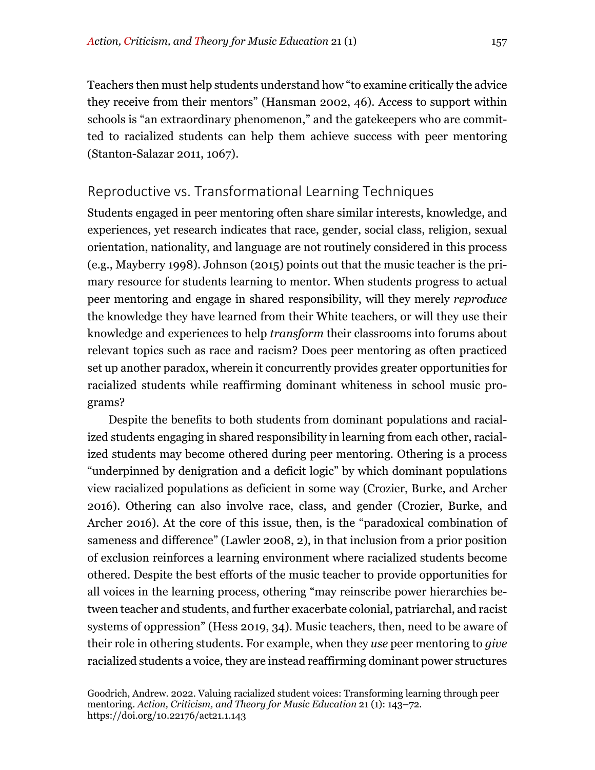Teachers then must help students understand how "to examine critically the advice they receive from their mentors" (Hansman 2002, 46). Access to support within schools is "an extraordinary phenomenon," and the gatekeepers who are committed to racialized students can help them achieve success with peer mentoring (Stanton-Salazar 2011, 1067).

# Reproductive vs. Transformational Learning Techniques

Students engaged in peer mentoring often share similar interests, knowledge, and experiences, yet research indicates that race, gender, social class, religion, sexual orientation, nationality, and language are not routinely considered in this process (e.g., Mayberry 1998). Johnson (2015) points out that the music teacher is the primary resource for students learning to mentor. When students progress to actual peer mentoring and engage in shared responsibility, will they merely *reproduce* the knowledge they have learned from their White teachers, or will they use their knowledge and experiences to help *transform* their classrooms into forums about relevant topics such as race and racism? Does peer mentoring as often practiced set up another paradox, wherein it concurrently provides greater opportunities for racialized students while reaffirming dominant whiteness in school music programs?

Despite the benefits to both students from dominant populations and racialized students engaging in shared responsibility in learning from each other, racialized students may become othered during peer mentoring. Othering is a process "underpinned by denigration and a deficit logic" by which dominant populations view racialized populations as deficient in some way (Crozier, Burke, and Archer 2016). Othering can also involve race, class, and gender (Crozier, Burke, and Archer 2016). At the core of this issue, then, is the "paradoxical combination of sameness and difference" (Lawler 2008, 2), in that inclusion from a prior position of exclusion reinforces a learning environment where racialized students become othered. Despite the best efforts of the music teacher to provide opportunities for all voices in the learning process, othering "may reinscribe power hierarchies between teacher and students, and further exacerbate colonial, patriarchal, and racist systems of oppression" (Hess 2019, 34). Music teachers, then, need to be aware of their role in othering students. For example, when they *use* peer mentoring to *give*  racialized students a voice, they are instead reaffirming dominant power structures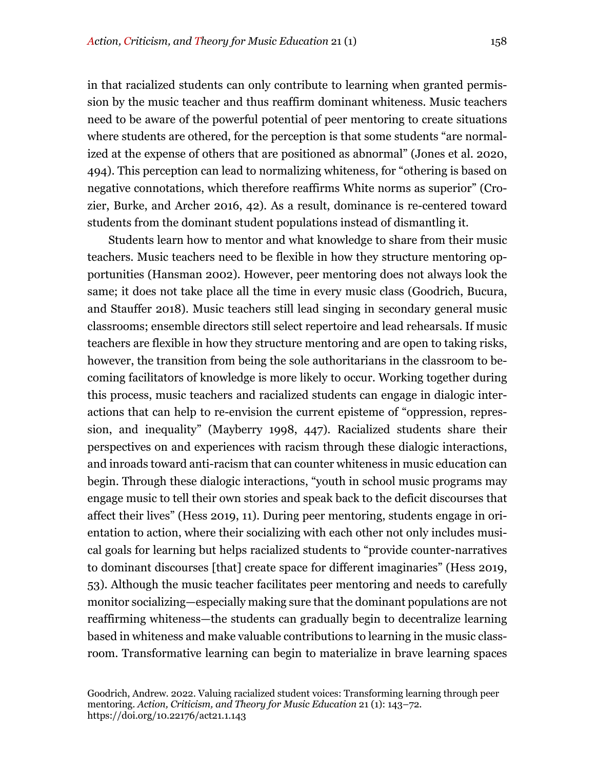in that racialized students can only contribute to learning when granted permission by the music teacher and thus reaffirm dominant whiteness. Music teachers need to be aware of the powerful potential of peer mentoring to create situations where students are othered, for the perception is that some students "are normalized at the expense of others that are positioned as abnormal" (Jones et al. 2020, 494). This perception can lead to normalizing whiteness, for "othering is based on negative connotations, which therefore reaffirms White norms as superior" (Crozier, Burke, and Archer 2016, 42). As a result, dominance is re-centered toward students from the dominant student populations instead of dismantling it.

Students learn how to mentor and what knowledge to share from their music teachers. Music teachers need to be flexible in how they structure mentoring opportunities (Hansman 2002). However, peer mentoring does not always look the same; it does not take place all the time in every music class (Goodrich, Bucura, and Stauffer 2018). Music teachers still lead singing in secondary general music classrooms; ensemble directors still select repertoire and lead rehearsals. If music teachers are flexible in how they structure mentoring and are open to taking risks, however, the transition from being the sole authoritarians in the classroom to becoming facilitators of knowledge is more likely to occur. Working together during this process, music teachers and racialized students can engage in dialogic interactions that can help to re-envision the current episteme of "oppression, repression, and inequality" (Mayberry 1998, 447). Racialized students share their perspectives on and experiences with racism through these dialogic interactions, and inroads toward anti-racism that can counter whiteness in music education can begin. Through these dialogic interactions, "youth in school music programs may engage music to tell their own stories and speak back to the deficit discourses that affect their lives" (Hess 2019, 11). During peer mentoring, students engage in orientation to action, where their socializing with each other not only includes musical goals for learning but helps racialized students to "provide counter-narratives to dominant discourses [that] create space for different imaginaries" (Hess 2019, 53). Although the music teacher facilitates peer mentoring and needs to carefully monitor socializing—especially making sure that the dominant populations are not reaffirming whiteness—the students can gradually begin to decentralize learning based in whiteness and make valuable contributions to learning in the music classroom. Transformative learning can begin to materialize in brave learning spaces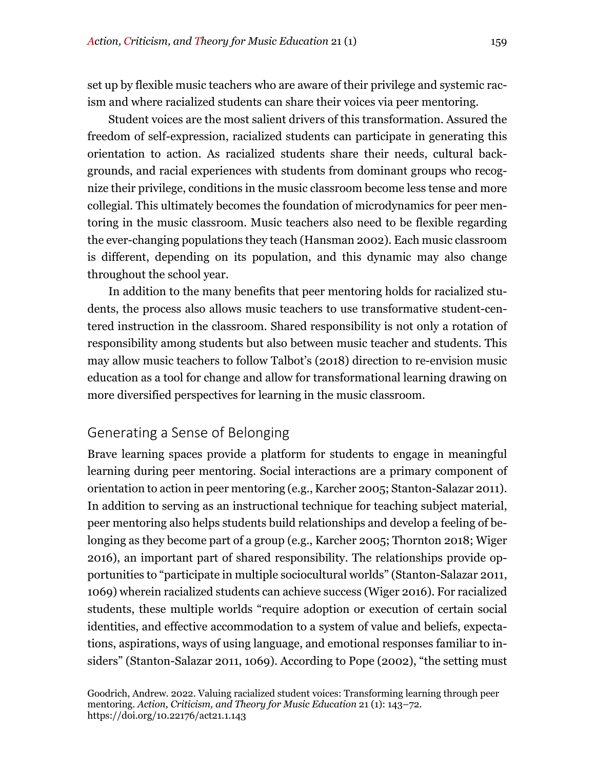set up by flexible music teachers who are aware of their privilege and systemic racism and where racialized students can share their voices via peer mentoring.

Student voices are the most salient drivers of this transformation. Assured the freedom of self-expression, racialized students can participate in generating this orientation to action. As racialized students share their needs, cultural backgrounds, and racial experiences with students from dominant groups who recognize their privilege, conditions in the music classroom become less tense and more collegial. This ultimately becomes the foundation of microdynamics for peer mentoring in the music classroom. Music teachers also need to be flexible regarding the ever-changing populations they teach (Hansman 2002). Each music classroom is different, depending on its population, and this dynamic may also change throughout the school year.

In addition to the many benefits that peer mentoring holds for racialized students, the process also allows music teachers to use transformative student-centered instruction in the classroom. Shared responsibility is not only a rotation of responsibility among students but also between music teacher and students. This may allow music teachers to follow Talbot's (2018) direction to re-envision music education as a tool for change and allow for transformational learning drawing on more diversified perspectives for learning in the music classroom.

# Generating a Sense of Belonging

Brave learning spaces provide a platform for students to engage in meaningful learning during peer mentoring. Social interactions are a primary component of orientation to action in peer mentoring (e.g., Karcher 2005; Stanton-Salazar 2011). In addition to serving as an instructional technique for teaching subject material, peer mentoring also helps students build relationships and develop a feeling of belonging as they become part of a group (e.g., Karcher 2005; Thornton 2018; Wiger 2016), an important part of shared responsibility. The relationships provide opportunities to "participate in multiple sociocultural worlds" (Stanton-Salazar 2011, 1069) wherein racialized students can achieve success (Wiger 2016). For racialized students, these multiple worlds "require adoption or execution of certain social identities, and effective accommodation to a system of value and beliefs, expectations, aspirations, ways of using language, and emotional responses familiar to insiders" (Stanton-Salazar 2011, 1069). According to Pope (2002), "the setting must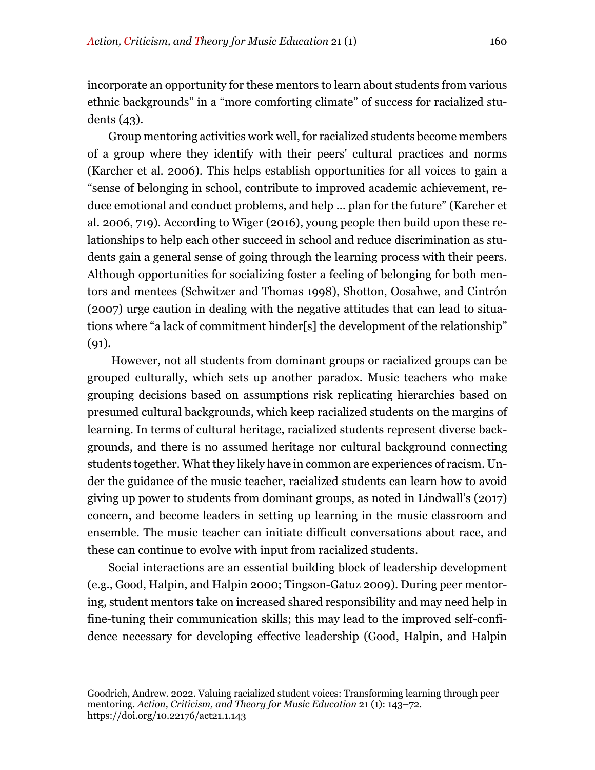incorporate an opportunity for these mentors to learn about students from various ethnic backgrounds" in a "more comforting climate" of success for racialized students (43).

Group mentoring activities work well, for racialized students become members of a group where they identify with their peers' cultural practices and norms (Karcher et al. 2006). This helps establish opportunities for all voices to gain a "sense of belonging in school, contribute to improved academic achievement, reduce emotional and conduct problems, and help … plan for the future" (Karcher et al. 2006, 719). According to Wiger (2016), young people then build upon these relationships to help each other succeed in school and reduce discrimination as students gain a general sense of going through the learning process with their peers. Although opportunities for socializing foster a feeling of belonging for both mentors and mentees (Schwitzer and Thomas 1998), Shotton, Oosahwe, and Cintrón (2007) urge caution in dealing with the negative attitudes that can lead to situations where "a lack of commitment hinder[s] the development of the relationship" (91).

However, not all students from dominant groups or racialized groups can be grouped culturally, which sets up another paradox. Music teachers who make grouping decisions based on assumptions risk replicating hierarchies based on presumed cultural backgrounds, which keep racialized students on the margins of learning. In terms of cultural heritage, racialized students represent diverse backgrounds, and there is no assumed heritage nor cultural background connecting students together. What they likely have in common are experiences of racism. Under the guidance of the music teacher, racialized students can learn how to avoid giving up power to students from dominant groups, as noted in Lindwall's (2017) concern, and become leaders in setting up learning in the music classroom and ensemble. The music teacher can initiate difficult conversations about race, and these can continue to evolve with input from racialized students.

Social interactions are an essential building block of leadership development (e.g., Good, Halpin, and Halpin 2000; Tingson-Gatuz 2009). During peer mentoring, student mentors take on increased shared responsibility and may need help in fine-tuning their communication skills; this may lead to the improved self-confidence necessary for developing effective leadership (Good, Halpin, and Halpin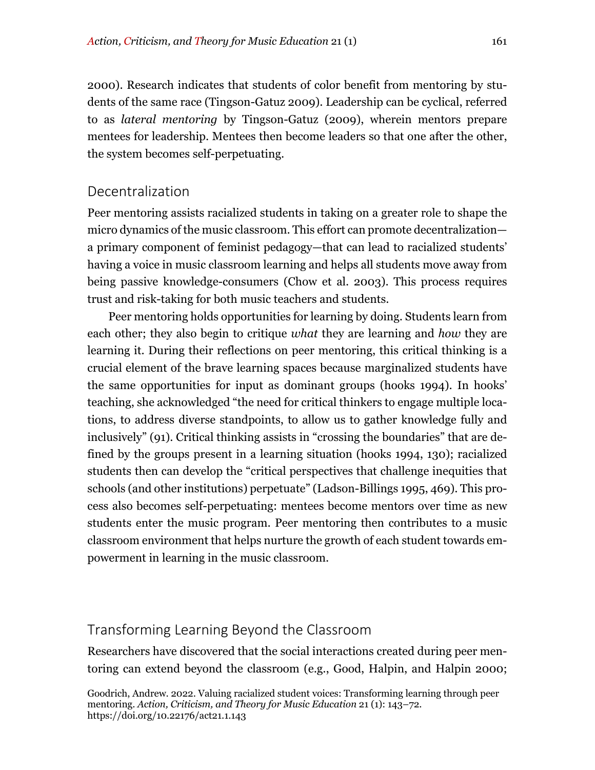2000). Research indicates that students of color benefit from mentoring by students of the same race (Tingson-Gatuz 2009). Leadership can be cyclical, referred to as *lateral mentoring* by Tingson-Gatuz (2009), wherein mentors prepare mentees for leadership. Mentees then become leaders so that one after the other, the system becomes self-perpetuating.

# Decentralization

Peer mentoring assists racialized students in taking on a greater role to shape the micro dynamics of the music classroom. This effort can promote decentralization a primary component of feminist pedagogy—that can lead to racialized students' having a voice in music classroom learning and helps all students move away from being passive knowledge-consumers (Chow et al. 2003). This process requires trust and risk-taking for both music teachers and students.

Peer mentoring holds opportunities for learning by doing. Students learn from each other; they also begin to critique *what* they are learning and *how* they are learning it. During their reflections on peer mentoring, this critical thinking is a crucial element of the brave learning spaces because marginalized students have the same opportunities for input as dominant groups (hooks 1994). In hooks' teaching, she acknowledged "the need for critical thinkers to engage multiple locations, to address diverse standpoints, to allow us to gather knowledge fully and inclusively" (91). Critical thinking assists in "crossing the boundaries" that are defined by the groups present in a learning situation (hooks 1994, 130); racialized students then can develop the "critical perspectives that challenge inequities that schools (and other institutions) perpetuate" (Ladson-Billings 1995, 469). This process also becomes self-perpetuating: mentees become mentors over time as new students enter the music program. Peer mentoring then contributes to a music classroom environment that helps nurture the growth of each student towards empowerment in learning in the music classroom.

# Transforming Learning Beyond the Classroom

Researchers have discovered that the social interactions created during peer mentoring can extend beyond the classroom (e.g., Good, Halpin, and Halpin 2000;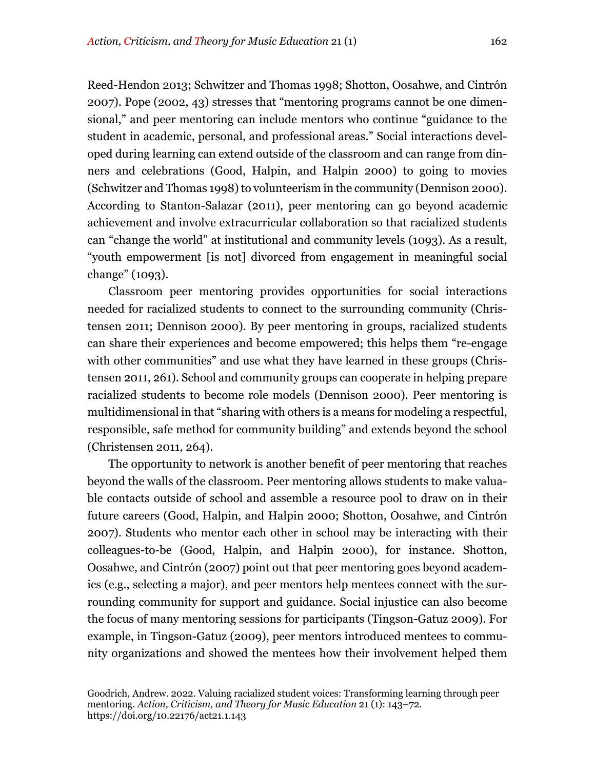Reed-Hendon 2013; Schwitzer and Thomas 1998; Shotton, Oosahwe, and Cintrón 2007). Pope (2002, 43) stresses that "mentoring programs cannot be one dimensional," and peer mentoring can include mentors who continue "guidance to the student in academic, personal, and professional areas." Social interactions developed during learning can extend outside of the classroom and can range from dinners and celebrations (Good, Halpin, and Halpin 2000) to going to movies (Schwitzer and Thomas 1998) to volunteerism in the community (Dennison 2000). According to Stanton-Salazar (2011), peer mentoring can go beyond academic achievement and involve extracurricular collaboration so that racialized students can "change the world" at institutional and community levels (1093). As a result, "youth empowerment [is not] divorced from engagement in meaningful social change" (1093).

Classroom peer mentoring provides opportunities for social interactions needed for racialized students to connect to the surrounding community (Christensen 2011; Dennison 2000). By peer mentoring in groups, racialized students can share their experiences and become empowered; this helps them "re-engage with other communities" and use what they have learned in these groups (Christensen 2011, 261). School and community groups can cooperate in helping prepare racialized students to become role models (Dennison 2000). Peer mentoring is multidimensional in that "sharing with others is a means for modeling a respectful, responsible, safe method for community building" and extends beyond the school (Christensen 2011, 264).

The opportunity to network is another benefit of peer mentoring that reaches beyond the walls of the classroom. Peer mentoring allows students to make valuable contacts outside of school and assemble a resource pool to draw on in their future careers (Good, Halpin, and Halpin 2000; Shotton, Oosahwe, and Cintrón 2007). Students who mentor each other in school may be interacting with their colleagues-to-be (Good, Halpin, and Halpin 2000), for instance. Shotton, Oosahwe, and Cintrón (2007) point out that peer mentoring goes beyond academics (e.g., selecting a major), and peer mentors help mentees connect with the surrounding community for support and guidance. Social injustice can also become the focus of many mentoring sessions for participants (Tingson-Gatuz 2009). For example, in Tingson-Gatuz (2009), peer mentors introduced mentees to community organizations and showed the mentees how their involvement helped them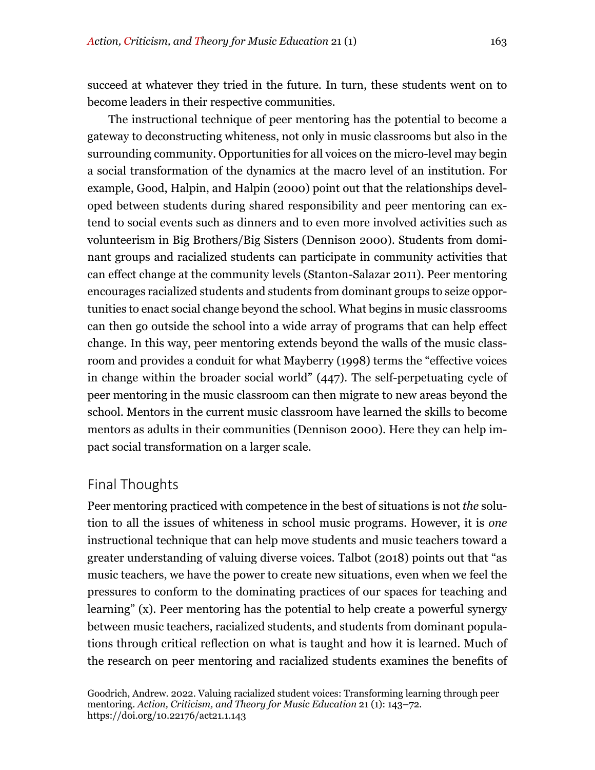succeed at whatever they tried in the future. In turn, these students went on to become leaders in their respective communities.

The instructional technique of peer mentoring has the potential to become a gateway to deconstructing whiteness, not only in music classrooms but also in the surrounding community. Opportunities for all voices on the micro-level may begin a social transformation of the dynamics at the macro level of an institution. For example, Good, Halpin, and Halpin (2000) point out that the relationships developed between students during shared responsibility and peer mentoring can extend to social events such as dinners and to even more involved activities such as volunteerism in Big Brothers/Big Sisters (Dennison 2000). Students from dominant groups and racialized students can participate in community activities that can effect change at the community levels (Stanton-Salazar 2011). Peer mentoring encourages racialized students and students from dominant groups to seize opportunities to enact social change beyond the school. What begins in music classrooms can then go outside the school into a wide array of programs that can help effect change. In this way, peer mentoring extends beyond the walls of the music classroom and provides a conduit for what Mayberry (1998) terms the "effective voices in change within the broader social world" (447). The self-perpetuating cycle of peer mentoring in the music classroom can then migrate to new areas beyond the school. Mentors in the current music classroom have learned the skills to become mentors as adults in their communities (Dennison 2000). Here they can help impact social transformation on a larger scale.

# Final Thoughts

Peer mentoring practiced with competence in the best of situations is not *the* solution to all the issues of whiteness in school music programs. However, it is *one* instructional technique that can help move students and music teachers toward a greater understanding of valuing diverse voices. Talbot (2018) points out that "as music teachers, we have the power to create new situations, even when we feel the pressures to conform to the dominating practices of our spaces for teaching and learning" (x). Peer mentoring has the potential to help create a powerful synergy between music teachers, racialized students, and students from dominant populations through critical reflection on what is taught and how it is learned. Much of the research on peer mentoring and racialized students examines the benefits of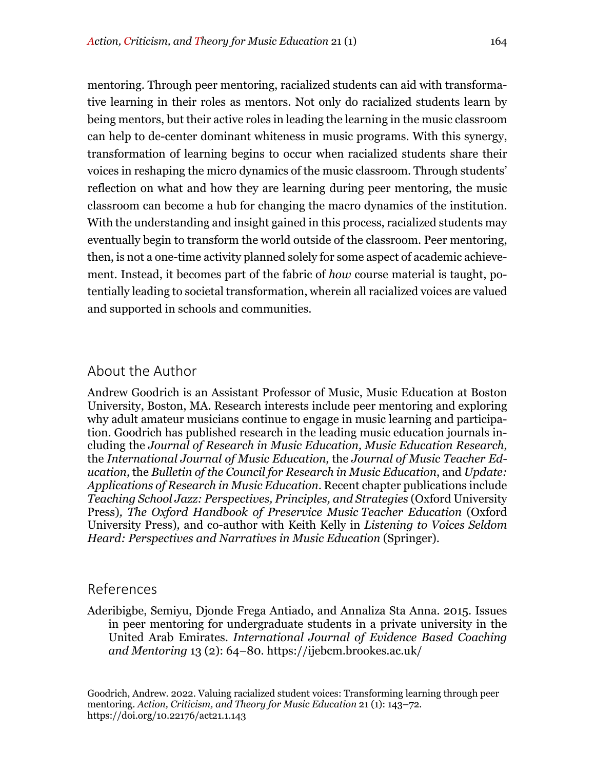mentoring. Through peer mentoring, racialized students can aid with transformative learning in their roles as mentors. Not only do racialized students learn by being mentors, but their active roles in leading the learning in the music classroom can help to de-center dominant whiteness in music programs. With this synergy, transformation of learning begins to occur when racialized students share their voices in reshaping the micro dynamics of the music classroom. Through students' reflection on what and how they are learning during peer mentoring, the music classroom can become a hub for changing the macro dynamics of the institution. With the understanding and insight gained in this process, racialized students may eventually begin to transform the world outside of the classroom. Peer mentoring, then, is not a one-time activity planned solely for some aspect of academic achievement. Instead, it becomes part of the fabric of *how* course material is taught, potentially leading to societal transformation, wherein all racialized voices are valued and supported in schools and communities.

# About the Author

Andrew Goodrich is an Assistant Professor of Music, Music Education at Boston University, Boston, MA. Research interests include peer mentoring and exploring why adult amateur musicians continue to engage in music learning and participation. Goodrich has published research in the leading music education journals including the *Journal of Research in Music Education, Music Education Research,*  the *International Journal of Music Education,* the *Journal of Music Teacher Education,* the *Bulletin of the Council for Research in Music Education*, and *Update: Applications of Research in Music Education*. Recent chapter publications include *Teaching School Jazz: Perspectives, Principles, and Strategies* (Oxford University Press)*, The Oxford Handbook of Preservice Music Teacher Education* (Oxford University Press)*,* and co-author with Keith Kelly in *Listening to Voices Seldom Heard: Perspectives and Narratives in Music Education* (Springer).

#### References

Aderibigbe, Semiyu, Djonde Frega Antiado, and Annaliza Sta Anna. 2015. Issues in peer mentoring for undergraduate students in a private university in the United Arab Emirates. *International Journal of Evidence Based Coaching and Mentoring* 13 (2): 64–80. https://ijebcm.brookes.ac.uk/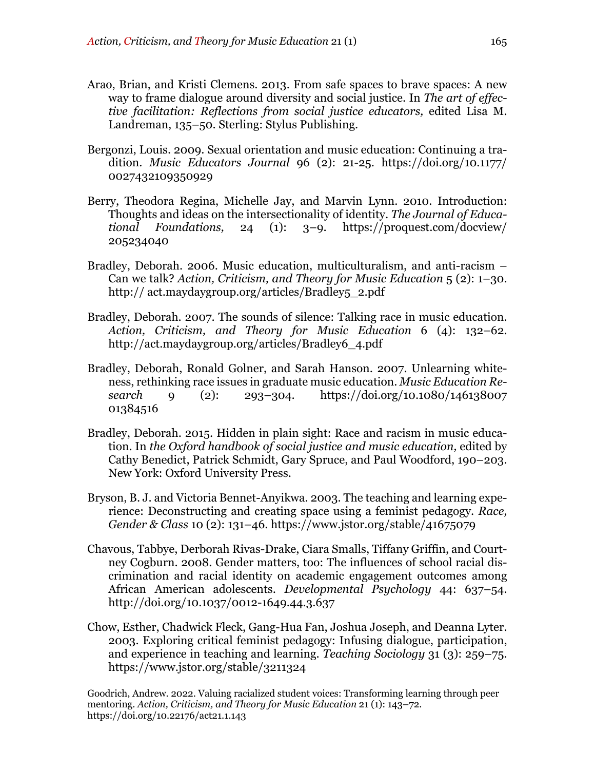- Arao, Brian, and Kristi Clemens. 2013. From safe spaces to brave spaces: A new way to frame dialogue around diversity and social justice. In *The art of effective facilitation: Reflections from social justice educators,* edited Lisa M. Landreman, 135–50. Sterling: Stylus Publishing.
- Bergonzi, Louis. 2009. Sexual orientation and music education: Continuing a tradition. *Music Educators Journal* 96 (2): 21-25. https://doi.org/10.1177/ 0027432109350929
- Berry, Theodora Regina, Michelle Jay, and Marvin Lynn. 2010. Introduction: Thoughts and ideas on the intersectionality of identity. *The Journal of Educational Foundations,* 24 (1): 3–9. https://proquest.com/docview/ 205234040
- Bradley, Deborah. 2006. Music education, multiculturalism, and anti-racism Can we talk? *Action, Criticism, and Theory for Music Education* 5 (2): 1–30. http:// act.maydaygroup.org/articles/Bradley5\_2.pdf
- Bradley, Deborah. 2007. The sounds of silence: Talking race in music education. *Action, Criticism, and Theory for Music Education* 6 (4): 132–62. http://act.maydaygroup.org/articles/Bradley6\_4.pdf
- Bradley, Deborah, Ronald Golner, and Sarah Hanson. 2007. Unlearning whiteness, rethinking race issues in graduate music education. *Music Education Research* 9 (2): 293–304. https://doi.org/10.1080/146138007 01384516
- Bradley, Deborah. 2015. Hidden in plain sight: Race and racism in music education. In *the Oxford handbook of social justice and music education,* edited by Cathy Benedict, Patrick Schmidt, Gary Spruce, and Paul Woodford, 190–203. New York: Oxford University Press.
- Bryson, B. J. and Victoria Bennet-Anyikwa. 2003. The teaching and learning experience: Deconstructing and creating space using a feminist pedagogy. *Race, Gender & Class* 10 (2): 131–46. https://www.jstor.org/stable/41675079
- Chavous, Tabbye, Derborah Rivas-Drake, Ciara Smalls, Tiffany Griffin, and Courtney Cogburn. 2008. Gender matters, too: The influences of school racial discrimination and racial identity on academic engagement outcomes among African American adolescents. *Developmental Psychology* 44: 637–54. http://doi.org/10.1037/0012-1649.44.3.637
- Chow, Esther, Chadwick Fleck, Gang-Hua Fan, Joshua Joseph, and Deanna Lyter. 2003. Exploring critical feminist pedagogy: Infusing dialogue, participation, and experience in teaching and learning. *Teaching Sociology* 31 (3): 259–75. https://www.jstor.org/stable/3211324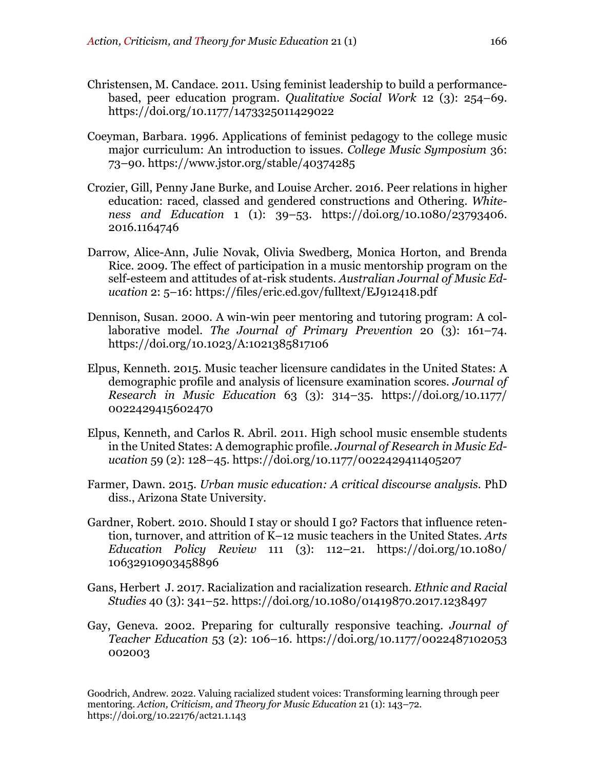- Christensen, M. Candace. 2011. Using feminist leadership to build a performancebased, peer education program. *Qualitative Social Work* 12 (3): 254–69. https://doi.org/10.1177/1473325011429022
- Coeyman, Barbara. 1996. Applications of feminist pedagogy to the college music major curriculum: An introduction to issues. *College Music Symposium* 36: 73–90. https://www.jstor.org/stable/40374285
- Crozier, Gill, Penny Jane Burke, and Louise Archer. 2016. Peer relations in higher education: raced, classed and gendered constructions and Othering. *Whiteness and Education* 1 (1): 39–53. https://doi.org/10.1080/23793406. 2016.1164746
- Darrow, Alice-Ann, Julie Novak, Olivia Swedberg, Monica Horton, and Brenda Rice. 2009. The effect of participation in a music mentorship program on the self-esteem and attitudes of at-risk students. *Australian Journal of Music Education* 2: 5–16: https://files/eric.ed.gov/fulltext/EJ912418.pdf
- Dennison, Susan. 2000. A win-win peer mentoring and tutoring program: A collaborative model. *The Journal of Primary Prevention* 20 (3): 161–74. https://doi.org/10.1023/A:1021385817106
- Elpus, Kenneth. 2015. Music teacher licensure candidates in the United States: A demographic profile and analysis of licensure examination scores. *Journal of Research in Music Education* 63 (3): 314–35. https://doi.org/10.1177/ 0022429415602470
- Elpus, Kenneth, and Carlos R. Abril. 2011. High school music ensemble students in the United States: A demographic profile. *Journal of Research in Music Education* 59 (2): 128–45. https://doi.org/10.1177/0022429411405207
- Farmer, Dawn. 2015. *Urban music education: A critical discourse analysis.* PhD diss., Arizona State University.
- Gardner, Robert. 2010. Should I stay or should I go? Factors that influence retention, turnover, and attrition of K–12 music teachers in the United States. *Arts Education Policy Review* 111 (3): 112–21. https://doi.org/10.1080/ 10632910903458896
- Gans, Herbert J. 2017. Racialization and racialization research. *Ethnic and Racial Studies* 40 (3): 341–52. https://doi.org/10.1080/01419870.2017.1238497
- Gay, Geneva. 2002. Preparing for culturally responsive teaching. *Journal of Teacher Education* 53 (2): 106–16. https://doi.org/10.1177/0022487102053 002003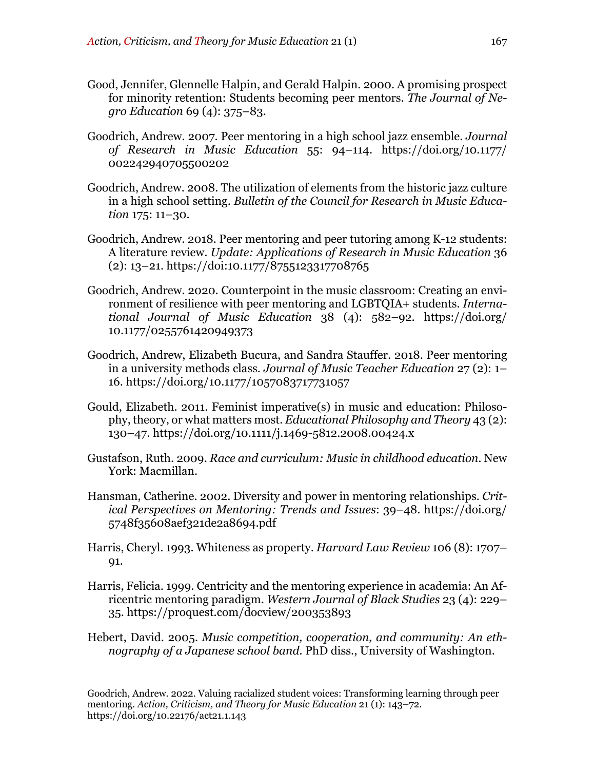- Good, Jennifer, Glennelle Halpin, and Gerald Halpin. 2000. A promising prospect for minority retention: Students becoming peer mentors. *The Journal of Negro Education* 69 (4): 375–83.
- Goodrich, Andrew. 2007. Peer mentoring in a high school jazz ensemble. *Journal of Research in Music Education* 55: 94–114. https://doi.org/10.1177/ 002242940705500202
- Goodrich, Andrew. 2008. The utilization of elements from the historic jazz culture in a high school setting. *Bulletin of the Council for Research in Music Education* 175: 11–30.
- Goodrich, Andrew. 2018. Peer mentoring and peer tutoring among K-12 students: A literature review. *Update: Applications of Research in Music Education* 36 (2): 13–21. https://doi:10.1177/8755123317708765
- Goodrich, Andrew. 2020. Counterpoint in the music classroom: Creating an environment of resilience with peer mentoring and LGBTQIA+ students. *International Journal of Music Education* 38 (4): 582–92. https://doi.org/ 10.1177/0255761420949373
- Goodrich, Andrew, Elizabeth Bucura, and Sandra Stauffer. 2018. Peer mentoring in a university methods class. *Journal of Music Teacher Education* 27 (2): 1– 16. https://doi.org/10.1177/1057083717731057
- Gould, Elizabeth. 2011. Feminist imperative(s) in music and education: Philosophy, theory, or what matters most. *Educational Philosophy and Theory* 43 (2): 130–47. https://doi.org/10.1111/j.1469-5812.2008.00424.x
- Gustafson, Ruth. 2009. *Race and curriculum: Music in childhood education.* New York: Macmillan.
- Hansman, Catherine. 2002. Diversity and power in mentoring relationships. *Critical Perspectives on Mentoring: Trends and Issues*: 39–48. https://doi.org/ 5748f35608aef321de2a8694.pdf
- Harris, Cheryl. 1993. Whiteness as property. *Harvard Law Review* 106 (8): 1707– 91.
- Harris, Felicia. 1999. Centricity and the mentoring experience in academia: An Africentric mentoring paradigm. *Western Journal of Black Studies* 23 (4): 229– 35. https://proquest.com/docview/200353893
- Hebert, David. 2005. *Music competition, cooperation, and community: An ethnography of a Japanese school band.* PhD diss., University of Washington.

Goodrich, Andrew. 2022. Valuing racialized student voices: Transforming learning through peer mentoring. *Action, Criticism, and Theory for Music Education* 21 (1): 143–72. https://doi.org/10.22176/act21.1.143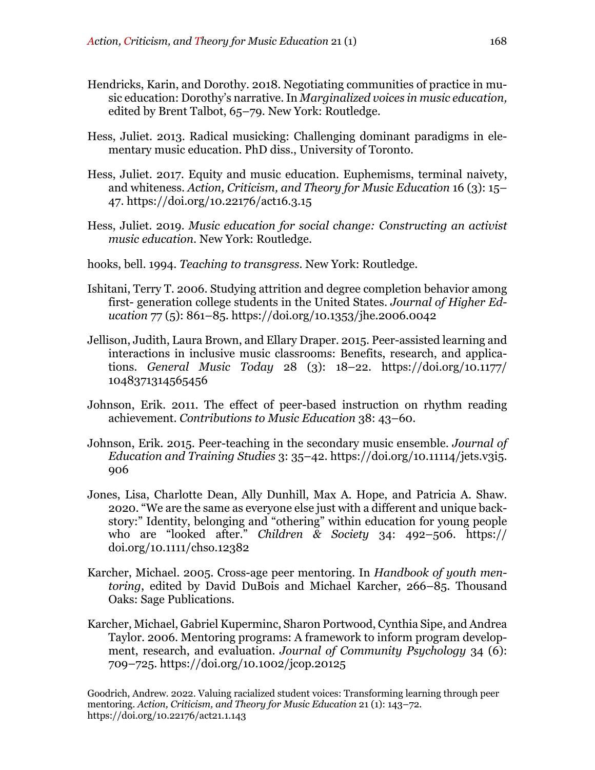- Hendricks, Karin, and Dorothy. 2018. Negotiating communities of practice in music education: Dorothy's narrative. In *Marginalized voices in music education,*  edited by Brent Talbot, 65–79. New York: Routledge.
- Hess, Juliet. 2013. Radical musicking: Challenging dominant paradigms in elementary music education. PhD diss., University of Toronto.
- Hess, Juliet. 2017. Equity and music education. Euphemisms, terminal naivety, and whiteness. *Action, Criticism, and Theory for Music Education* 16 (3): 15– 47. https://doi.org/10.22176/act16.3.15
- Hess, Juliet. 2019. *Music education for social change: Constructing an activist music education*. New York: Routledge.
- hooks, bell. 1994. *Teaching to transgress.* New York: Routledge.
- Ishitani, Terry T. 2006. Studying attrition and degree completion behavior among first- generation college students in the United States. *Journal of Higher Education* 77 (5): 861–85. https://doi.org/10.1353/jhe.2006.0042
- Jellison, Judith, Laura Brown, and Ellary Draper. 2015. Peer-assisted learning and interactions in inclusive music classrooms: Benefits, research, and applications. *General Music Today* 28 (3): 18–22. https://doi.org/10.1177/ 1048371314565456
- Johnson, Erik. 2011. The effect of peer-based instruction on rhythm reading achievement. *Contributions to Music Education* 38: 43–60.
- Johnson, Erik. 2015. Peer-teaching in the secondary music ensemble. *Journal of Education and Training Studies* 3: 35–42. https://doi.org/10.11114/jets.v3i5. 906
- Jones, Lisa, Charlotte Dean, Ally Dunhill, Max A. Hope, and Patricia A. Shaw. 2020. "We are the same as everyone else just with a different and unique backstory:" Identity, belonging and "othering" within education for young people who are "looked after." *Children & Society* 34: 492–506. https:// doi.org/10.1111/chso.12382
- Karcher, Michael. 2005. Cross-age peer mentoring. In *Handbook of youth mentoring*, edited by David DuBois and Michael Karcher, 266–85. Thousand Oaks: Sage Publications.
- Karcher, Michael, Gabriel Kuperminc, Sharon Portwood, Cynthia Sipe, and Andrea Taylor. 2006. Mentoring programs: A framework to inform program development, research, and evaluation. *Journal of Community Psychology* 34 (6): 709–725. https://doi.org/10.1002/jcop.20125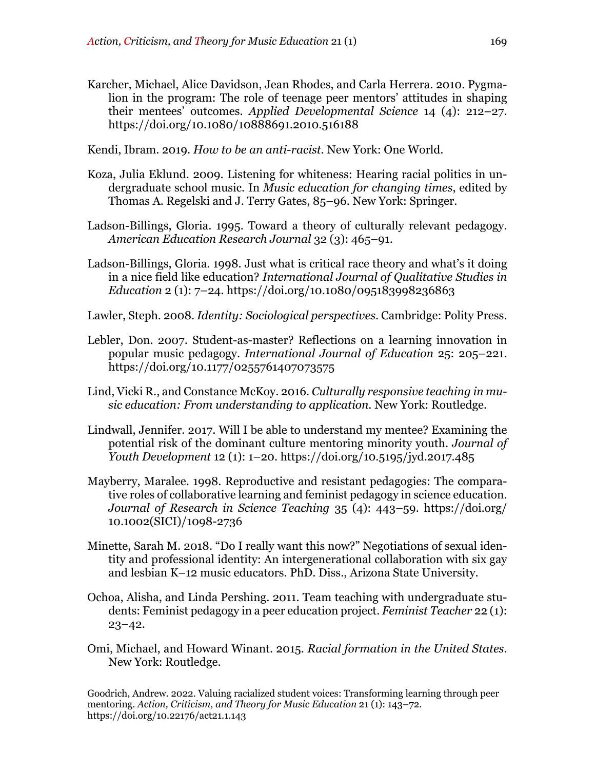- Karcher, Michael, Alice Davidson, Jean Rhodes, and Carla Herrera. 2010. Pygmalion in the program: The role of teenage peer mentors' attitudes in shaping their mentees' outcomes. *Applied Developmental Science* 14 (4): 212–27. https://doi.org/10.1080/10888691.2010.516188
- Kendi, Ibram. 2019. *How to be an anti-racist.* New York: One World.
- Koza, Julia Eklund. 2009. Listening for whiteness: Hearing racial politics in undergraduate school music. In *Music education for changing times*, edited by Thomas A. Regelski and J. Terry Gates, 85–96. New York: Springer.
- Ladson-Billings, Gloria. 1995. Toward a theory of culturally relevant pedagogy. *American Education Research Journal* 32 (3): 465–91.
- Ladson-Billings, Gloria. 1998. Just what is critical race theory and what's it doing in a nice field like education? *International Journal of Qualitative Studies in Education* 2 (1): 7–24. https://doi.org/10.1080/095183998236863
- Lawler, Steph. 2008. *Identity: Sociological perspectives*. Cambridge: Polity Press.
- Lebler, Don. 2007. Student-as-master? Reflections on a learning innovation in popular music pedagogy. *International Journal of Education* 25: 205–221. https://doi.org/10.1177/0255761407073575
- Lind, Vicki R., and Constance McKoy. 2016. *Culturally responsive teaching in music education: From understanding to application.* New York: Routledge.
- Lindwall, Jennifer. 2017. Will I be able to understand my mentee? Examining the potential risk of the dominant culture mentoring minority youth. *Journal of Youth Development* 12 (1): 1–20. https://doi.org/10.5195/jyd.2017.485
- Mayberry, Maralee. 1998. Reproductive and resistant pedagogies: The comparative roles of collaborative learning and feminist pedagogy in science education. *Journal of Research in Science Teaching* 35 (4): 443–59. https://doi.org/ 10.1002(SICI)/1098-2736
- Minette, Sarah M. 2018. "Do I really want this now?" Negotiations of sexual identity and professional identity: An intergenerational collaboration with six gay and lesbian K–12 music educators*.* PhD. Diss., Arizona State University.
- Ochoa, Alisha, and Linda Pershing. 2011. Team teaching with undergraduate students: Feminist pedagogy in a peer education project. *Feminist Teacher* 22 (1):  $23 - 42.$
- Omi, Michael, and Howard Winant. 2015. *Racial formation in the United States*. New York: Routledge.

Goodrich, Andrew. 2022. Valuing racialized student voices: Transforming learning through peer mentoring. *Action, Criticism, and Theory for Music Education* 21 (1): 143–72. https://doi.org/10.22176/act21.1.143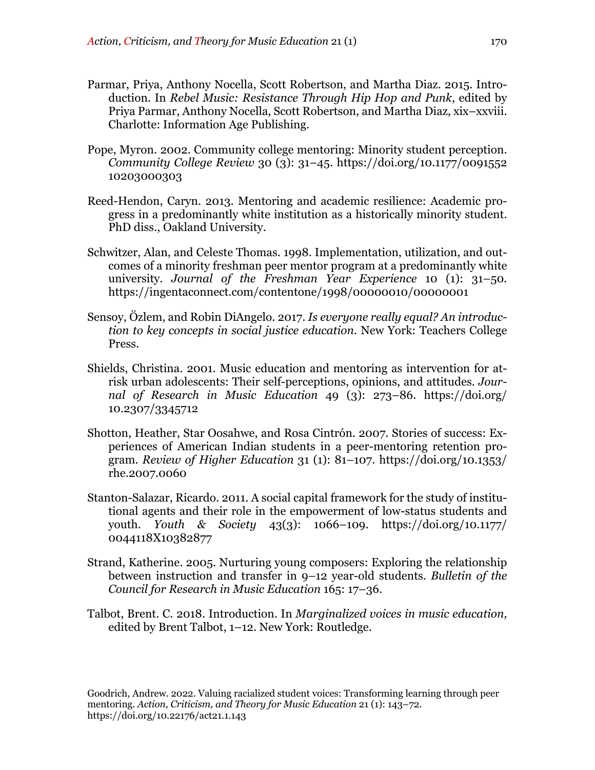- Parmar, Priya, Anthony Nocella, Scott Robertson, and Martha Diaz. 2015. Introduction. In *Rebel Music: Resistance Through Hip Hop and Punk*, edited by Priya Parmar, Anthony Nocella, Scott Robertson, and Martha Diaz, xix–xxviii. Charlotte: Information Age Publishing.
- Pope, Myron. 2002. Community college mentoring: Minority student perception. *Community College Review* 30 (3): 31–45. https://doi.org/10.1177/0091552 10203000303
- Reed-Hendon, Caryn. 2013. Mentoring and academic resilience: Academic progress in a predominantly white institution as a historically minority student. PhD diss., Oakland University.
- Schwitzer, Alan, and Celeste Thomas. 1998. Implementation, utilization, and outcomes of a minority freshman peer mentor program at a predominantly white university. *Journal of the Freshman Year Experience* 10 (1): 31–50. https://ingentaconnect.com/contentone/1998/00000010/00000001
- Sensoy, Özlem, and Robin DiAngelo. 2017. *Is everyone really equal? An introduction to key concepts in social justice education*. New York: Teachers College Press.
- Shields, Christina. 2001. Music education and mentoring as intervention for atrisk urban adolescents: Their self-perceptions, opinions, and attitudes. *Journal of Research in Music Education* 49 (3): 273–86. https://doi.org/ 10.2307/3345712
- Shotton, Heather, Star Oosahwe, and Rosa Cintrón. 2007. Stories of success: Experiences of American Indian students in a peer-mentoring retention program. *Review of Higher Education* 31 (1): 81–107. https://doi.org/10.1353/ rhe.2007.0060
- Stanton-Salazar, Ricardo. 2011. A social capital framework for the study of institutional agents and their role in the empowerment of low-status students and youth. *Youth & Society* 43(3): 1066–109. https://doi.org/10.1177/ 0044118X10382877
- Strand, Katherine. 2005. Nurturing young composers: Exploring the relationship between instruction and transfer in 9–12 year-old students. *Bulletin of the Council for Research in Music Education* 165: 17–36.
- Talbot, Brent. C. 2018. Introduction. In *Marginalized voices in music education,*  edited by Brent Talbot, 1–12. New York: Routledge.